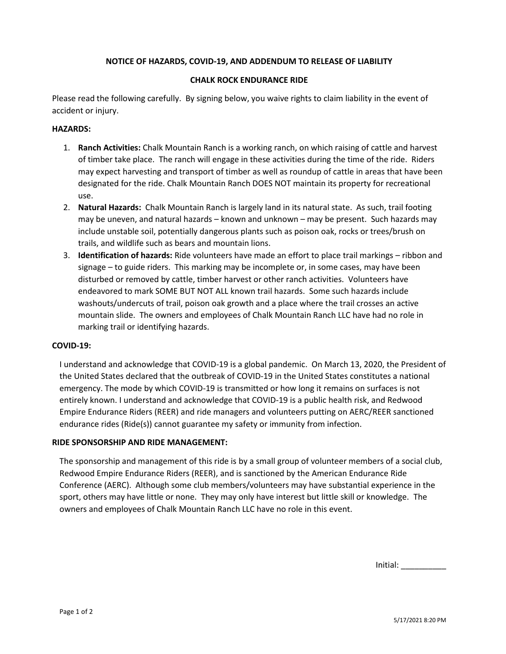# **NOTICE OF HAZARDS, COVID-19, AND ADDENDUM TO RELEASE OF LIABILITY**

### **CHALK ROCK ENDURANCE RIDE**

Please read the following carefully. By signing below, you waive rights to claim liability in the event of accident or injury.

## **HAZARDS:**

- 1. **Ranch Activities:** Chalk Mountain Ranch is a working ranch, on which raising of cattle and harvest of timber take place. The ranch will engage in these activities during the time of the ride. Riders may expect harvesting and transport of timber as well as roundup of cattle in areas that have been designated for the ride. Chalk Mountain Ranch DOES NOT maintain its property for recreational use.
- 2. **Natural Hazards:** Chalk Mountain Ranch is largely land in its natural state. As such, trail footing may be uneven, and natural hazards – known and unknown – may be present. Such hazards may include unstable soil, potentially dangerous plants such as poison oak, rocks or trees/brush on trails, and wildlife such as bears and mountain lions.
- 3. **Identification of hazards:** Ride volunteers have made an effort to place trail markings ribbon and signage – to guide riders. This marking may be incomplete or, in some cases, may have been disturbed or removed by cattle, timber harvest or other ranch activities. Volunteers have endeavored to mark SOME BUT NOT ALL known trail hazards. Some such hazards include washouts/undercuts of trail, poison oak growth and a place where the trail crosses an active mountain slide. The owners and employees of Chalk Mountain Ranch LLC have had no role in marking trail or identifying hazards.

# **COVID-19:**

I understand and acknowledge that COVID-19 is a global pandemic. On March 13, 2020, the President of the United States declared that the outbreak of COVID-19 in the United States constitutes a national emergency. The mode by which COVID-19 is transmitted or how long it remains on surfaces is not entirely known. I understand and acknowledge that COVID-19 is a public health risk, and Redwood Empire Endurance Riders (REER) and ride managers and volunteers putting on AERC/REER sanctioned endurance rides (Ride(s)) cannot guarantee my safety or immunity from infection.

### **RIDE SPONSORSHIP AND RIDE MANAGEMENT:**

The sponsorship and management of this ride is by a small group of volunteer members of a social club, Redwood Empire Endurance Riders (REER), and is sanctioned by the American Endurance Ride Conference (AERC). Although some club members/volunteers may have substantial experience in the sport, others may have little or none. They may only have interest but little skill or knowledge. The owners and employees of Chalk Mountain Ranch LLC have no role in this event.

Initial: \_\_\_\_\_\_\_\_\_\_